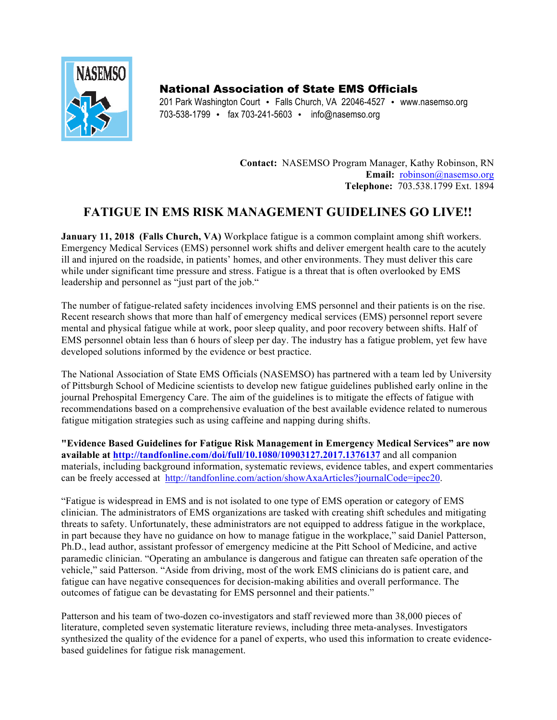

National Association of State EMS Officials

201 Park Washington Court • Falls Church, VA 22046-4527 • www.nasemso.org 703-538-1799 • fax 703-241-5603 • info@nasemso.org

> **Contact:** NASEMSO Program Manager, Kathy Robinson, RN Email: robinson@nasemso.org **Telephone:** 703.538.1799 Ext. 1894

## **FATIGUE IN EMS RISK MANAGEMENT GUIDELINES GO LIVE!!**

**January 11, 2018 (Falls Church, VA)** Workplace fatigue is a common complaint among shift workers. Emergency Medical Services (EMS) personnel work shifts and deliver emergent health care to the acutely ill and injured on the roadside, in patients' homes, and other environments. They must deliver this care while under significant time pressure and stress. Fatigue is a threat that is often overlooked by EMS leadership and personnel as "just part of the job."

The number of fatigue-related safety incidences involving EMS personnel and their patients is on the rise. Recent research shows that more than half of emergency medical services (EMS) personnel report severe mental and physical fatigue while at work, poor sleep quality, and poor recovery between shifts. Half of EMS personnel obtain less than 6 hours of sleep per day. The industry has a fatigue problem, yet few have developed solutions informed by the evidence or best practice.

The National Association of State EMS Officials (NASEMSO) has partnered with a team led by University of Pittsburgh School of Medicine scientists to develop new fatigue guidelines published early online in the journal Prehospital Emergency Care. The aim of the guidelines is to mitigate the effects of fatigue with recommendations based on a comprehensive evaluation of the best available evidence related to numerous fatigue mitigation strategies such as using caffeine and napping during shifts.

**"Evidence Based Guidelines for Fatigue Risk Management in Emergency Medical Services" are now available at http://tandfonline.com/doi/full/10.1080/10903127.2017.1376137** and all companion materials, including background information, systematic reviews, evidence tables, and expert commentaries can be freely accessed at http://tandfonline.com/action/showAxaArticles?journalCode=ipec20.

"Fatigue is widespread in EMS and is not isolated to one type of EMS operation or category of EMS clinician. The administrators of EMS organizations are tasked with creating shift schedules and mitigating threats to safety. Unfortunately, these administrators are not equipped to address fatigue in the workplace, in part because they have no guidance on how to manage fatigue in the workplace," said Daniel Patterson, Ph.D., lead author, assistant professor of emergency medicine at the Pitt School of Medicine, and active paramedic clinician. "Operating an ambulance is dangerous and fatigue can threaten safe operation of the vehicle," said Patterson. "Aside from driving, most of the work EMS clinicians do is patient care, and fatigue can have negative consequences for decision-making abilities and overall performance. The outcomes of fatigue can be devastating for EMS personnel and their patients."

Patterson and his team of two-dozen co-investigators and staff reviewed more than 38,000 pieces of literature, completed seven systematic literature reviews, including three meta-analyses. Investigators synthesized the quality of the evidence for a panel of experts, who used this information to create evidencebased guidelines for fatigue risk management.